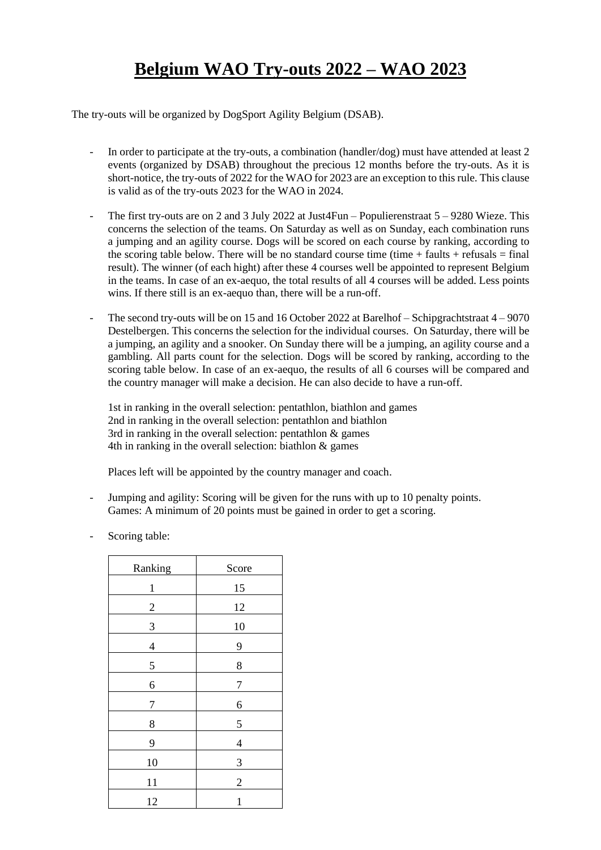## **Belgium WAO Try-outs 2022 – WAO 2023**

The try-outs will be organized by DogSport Agility Belgium (DSAB).

- In order to participate at the try-outs, a combination (handler/dog) must have attended at least 2 events (organized by DSAB) throughout the precious 12 months before the try-outs. As it is short-notice, the try-outs of 2022 for the WAO for 2023 are an exception to this rule. This clause is valid as of the try-outs 2023 for the WAO in 2024.
- The first try-outs are on 2 and 3 July 2022 at Just4Fun Populierenstraat  $5 9280$  Wieze. This concerns the selection of the teams. On Saturday as well as on Sunday, each combination runs a jumping and an agility course. Dogs will be scored on each course by ranking, according to the scoring table below. There will be no standard course time (time  $+$  faults  $+$  refusals  $=$  final result). The winner (of each hight) after these 4 courses well be appointed to represent Belgium in the teams. In case of an ex-aequo, the total results of all 4 courses will be added. Less points wins. If there still is an ex-aequo than, there will be a run-off.
- The second try-outs will be on 15 and 16 October 2022 at Barelhof Schipgrachtstraat  $4 9070$ Destelbergen. This concerns the selection for the individual courses. On Saturday, there will be a jumping, an agility and a snooker. On Sunday there will be a jumping, an agility course and a gambling. All parts count for the selection. Dogs will be scored by ranking, according to the scoring table below. In case of an ex-aequo, the results of all 6 courses will be compared and the country manager will make a decision. He can also decide to have a run-off.

1st in ranking in the overall selection: pentathlon, biathlon and games 2nd in ranking in the overall selection: pentathlon and biathlon 3rd in ranking in the overall selection: pentathlon & games 4th in ranking in the overall selection: biathlon & games

Places left will be appointed by the country manager and coach.

- Jumping and agility: Scoring will be given for the runs with up to 10 penalty points. Games: A minimum of 20 points must be gained in order to get a scoring.
- Scoring table:

| Ranking        | Score          |
|----------------|----------------|
| $\mathbf{1}$   | 15             |
| $\overline{c}$ | 12             |
| 3              | 10             |
| $\overline{4}$ | 9              |
| 5              | 8              |
| 6              | 7              |
| 7              | 6              |
| 8              | 5              |
| 9              | $\overline{4}$ |
| 10             | 3              |
| 11             | $\overline{c}$ |
| 12             | $\mathbf{1}$   |